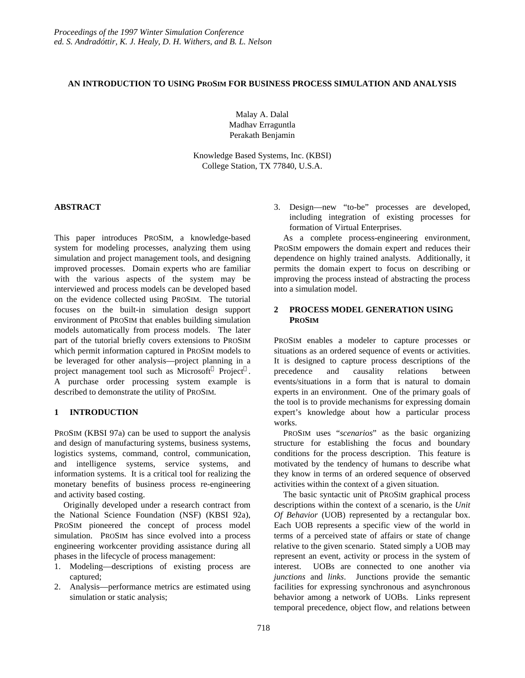### **AN INTRODUCTION TO USING PROSIM FOR BUSINESS PROCESS SIMULATION AND ANALYSIS**

Malay A. Dalal Madhav Erraguntla Perakath Benjamin

Knowledge Based Systems, Inc. (KBSI) College Station, TX 77840, U.S.A.

## **ABSTRACT**

This paper introduces PROSIM, a knowledge-based system for modeling processes, analyzing them using simulation and project management tools, and designing improved processes. Domain experts who are familiar with the various aspects of the system may be interviewed and process models can be developed based on the evidence collected using PROSIM. The tutorial focuses on the built-in simulation design support environment of PROSIM that enables building simulation models automatically from process models. The later part of the tutorial briefly covers extensions to PROSIM which permit information captured in PROSIM models to be leveraged for other analysis—project planning in a project management tool such as Microsoft<sup>®</sup> Project<sup>™</sup>. A purchase order processing system example is described to demonstrate the utility of PROSIM.

## **1 INTRODUCTION**

PROSIM (KBSI 97a) can be used to support the analysis and design of manufacturing systems, business systems, logistics systems, command, control, communication, and intelligence systems, service systems, and information systems. It is a critical tool for realizing the monetary benefits of business process re-engineering and activity based costing.

Originally developed under a research contract from the National Science Foundation (NSF) (KBSI 92a), PROSIM pioneered the concept of process model simulation. PROSIM has since evolved into a process engineering workcenter providing assistance during all phases in the lifecycle of process management:

- 1. Modeling—descriptions of existing process are captured;
- 2. Analysis—performance metrics are estimated using simulation or static analysis;

3. Design—new "to-be" processes are developed, including integration of existing processes for formation of Virtual Enterprises.

As a complete process-engineering environment, PROSIM empowers the domain expert and reduces their dependence on highly trained analysts. Additionally, it permits the domain expert to focus on describing or improving the process instead of abstracting the process into a simulation model.

### **2 PROCESS MODEL GENERATION USING PROSIM**

PROSIM enables a modeler to capture processes or situations as an ordered sequence of events or activities. It is designed to capture process descriptions of the precedence and causality relations between events/situations in a form that is natural to domain experts in an environment. One of the primary goals of the tool is to provide mechanisms for expressing domain expert's knowledge about how a particular process works.

PROSIM uses "*scenarios*" as the basic organizing structure for establishing the focus and boundary conditions for the process description. This feature is motivated by the tendency of humans to describe what they know in terms of an ordered sequence of observed activities within the context of a given situation.

The basic syntactic unit of PROSIM graphical process descriptions within the context of a scenario, is the *Unit Of Behavior* (UOB) represented by a rectangular box. Each UOB represents a specific view of the world in terms of a perceived state of affairs or state of change relative to the given scenario. Stated simply a UOB may represent an event, activity or process in the system of interest. UOBs are connected to one another via *junctions* and *links*. Junctions provide the semantic facilities for expressing synchronous and asynchronous behavior among a network of UOBs. Links represent temporal precedence, object flow, and relations between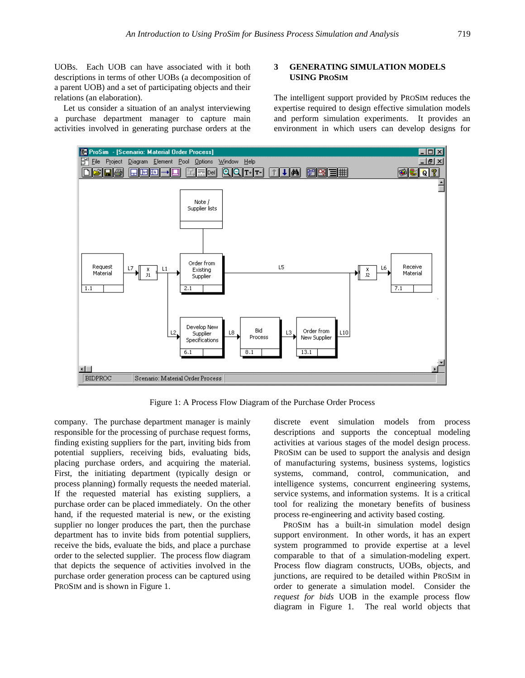UOBs. Each UOB can have associated with it both descriptions in terms of other UOBs (a decomposition of a parent UOB) and a set of participating objects and their relations (an elaboration).

Let us consider a situation of an analyst interviewing a purchase department manager to capture main activities involved in generating purchase orders at the

### **3 GENERATING SIMULATION MODELS USING PROSIM**

The intelligent support provided by PROSIM reduces the expertise required to design effective simulation models and perform simulation experiments. It provides an environment in which users can develop designs for



Figure 1: A Process Flow Diagram of the Purchase Order Process

company. The purchase department manager is mainly responsible for the processing of purchase request forms, finding existing suppliers for the part, inviting bids from potential suppliers, receiving bids, evaluating bids, placing purchase orders, and acquiring the material. First, the initiating department (typically design or process planning) formally requests the needed material. If the requested material has existing suppliers, a purchase order can be placed immediately. On the other hand, if the requested material is new, or the existing supplier no longer produces the part, then the purchase department has to invite bids from potential suppliers, receive the bids, evaluate the bids, and place a purchase order to the selected supplier. The process flow diagram that depicts the sequence of activities involved in the purchase order generation process can be captured using PROSIM and is shown in Figure 1.

discrete event simulation models from process descriptions and supports the conceptual modeling activities at various stages of the model design process. PROSIM can be used to support the analysis and design of manufacturing systems, business systems, logistics systems, command, control, communication, and intelligence systems, concurrent engineering systems, service systems, and information systems. It is a critical tool for realizing the monetary benefits of business process re-engineering and activity based costing.

PROSIM has a built-in simulation model design support environment. In other words, it has an expert system programmed to provide expertise at a level comparable to that of a simulation-modeling expert. Process flow diagram constructs, UOBs, objects, and junctions, are required to be detailed within PROSIM in order to generate a simulation model. Consider the *request for bids* UOB in the example process flow diagram in Figure 1. The real world objects that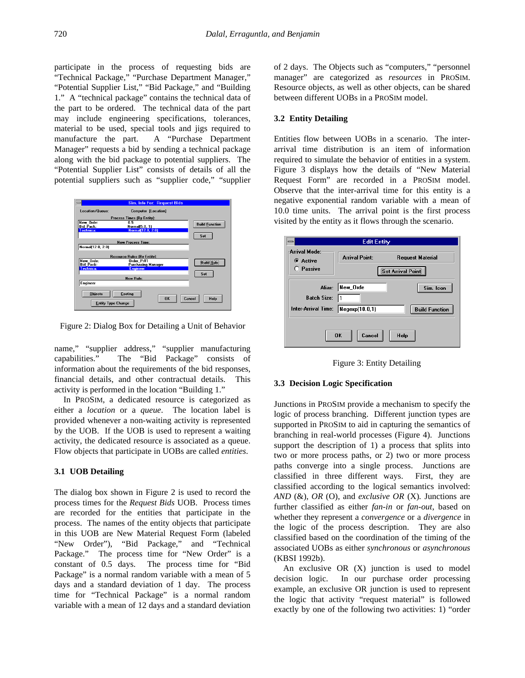participate in the process of requesting bids are "Technical Package," "Purchase Department Manager," "Potential Supplier List," "Bid Package," and "Building 1." A "technical package" contains the technical data of the part to be ordered. The technical data of the part may include engineering specifications, tolerances, material to be used, special tools and jigs required to manufacture the part. A "Purchase Department Manager" requests a bid by sending a technical package along with the bid package to potential suppliers. The "Potential Supplier List" consists of details of all the potential suppliers such as "supplier code," "supplier



Figure 2: Dialog Box for Detailing a Unit of Behavior

name," "supplier address," "supplier manufacturing capabilities." The "Bid Package" consists of information about the requirements of the bid responses, financial details, and other contractual details. This activity is performed in the location "Building 1."

In PROSIM, a dedicated resource is categorized as either a *location* or a *queue*. The location label is provided whenever a non-waiting activity is represented by the UOB. If the UOB is used to represent a waiting activity, the dedicated resource is associated as a queue. Flow objects that participate in UOBs are called *entities*.

### **3.1 UOB Detailing**

The dialog box shown in Figure 2 is used to record the process times for the *Request Bids* UOB. Process times are recorded for the entities that participate in the process. The names of the entity objects that participate in this UOB are New Material Request Form (labeled "New Order"), "Bid Package," and "Technical Package." The process time for "New Order" is a constant of 0.5 days. The process time for "Bid Package" is a normal random variable with a mean of 5 days and a standard deviation of 1 day. The process time for "Technical Package" is a normal random variable with a mean of 12 days and a standard deviation of 2 days. The Objects such as "computers," "personnel manager" are categorized as *resources* in PROSIM. Resource objects, as well as other objects, can be shared between different UOBs in a PROSIM model.

### **3.2 Entity Detailing**

Entities flow between UOBs in a scenario. The interarrival time distribution is an item of information required to simulate the behavior of entities in a system. Figure 3 displays how the details of "New Material Request Form" are recorded in a PROSIM model. Observe that the inter-arrival time for this entity is a negative exponential random variable with a mean of 10.0 time units. The arrival point is the first process visited by the entity as it flows through the scenario.

|                                                          | <b>Edit Entity</b>                                                           |
|----------------------------------------------------------|------------------------------------------------------------------------------|
| Arrival Mode:<br>C Active<br>○ Passive                   | <b>Arrival Point:</b><br><b>Request Material</b><br><b>Set Arrival Point</b> |
| <b>Batch Size:</b><br>Inter-Arrival Time: Negexp(10.0,1) | Alias: New_Orde<br>Sim. Icon<br><b>Build Function</b>                        |
|                                                          | Cancel<br><b>OK</b><br>Help                                                  |

Figure 3: Entity Detailing

### **3.3 Decision Logic Specification**

Junctions in PROSIM provide a mechanism to specify the logic of process branching. Different junction types are supported in PROSIM to aid in capturing the semantics of branching in real-world processes (Figure 4). Junctions support the description of 1) a process that splits into two or more process paths, or 2) two or more process paths converge into a single process. Junctions are classified in three different ways. First, they are classified according to the logical semantics involved: *AND* (&), *OR* (O), and *exclusive OR* (X)*.* Junctions are further classified as either *fan-in* or *fan-out*, based on whether they represent a *convergence* or a *divergence* in the logic of the process description. They are also classified based on the coordination of the timing of the associated UOBs as either *synchronous* or *asynchronous* (KBSI 1992b).

An exclusive OR (X) junction is used to model decision logic. In our purchase order processing example, an exclusive OR junction is used to represent the logic that activity "request material" is followed exactly by one of the following two activities: 1) "order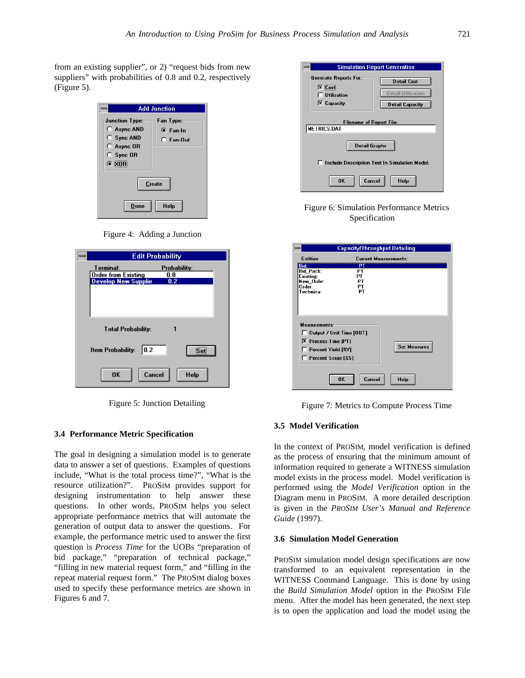from an existing supplier", or 2) "request bids from new suppliers" with probabilities of 0.8 and 0.2, respectively (Figure 5).

|                                                                                                      | <b>Add Junction</b>                                |
|------------------------------------------------------------------------------------------------------|----------------------------------------------------|
| Junction Type:<br>$O$ Async AND<br>◯ Sync AND<br>$O$ Async OR<br>$\bigcirc$ Sync OR<br>$\bullet$ XOR | Fan Type:<br>$\bullet$ Fan-In<br>$\bigcap$ Fan-Out |
|                                                                                                      | Create                                             |
| Done                                                                                                 | Help                                               |

Figure 4: Adding a Junction

| <b>Edit Probability</b>           |
|-----------------------------------|
| Terminal:<br>Probability:         |
| <b>Order from Existing</b><br>0.8 |
| <b>Develop New Supplie</b><br>0.2 |
|                                   |
|                                   |
|                                   |
|                                   |
| <b>Total Probability:</b>         |
|                                   |
| Set<br>0.2<br>Item Probability:   |
| Cancel<br>OK<br><b>Help</b>       |

Figure 5: Junction Detailing

#### **3.4 Performance Metric Specification**

The goal in designing a simulation model is to generate data to answer a set of questions. Examples of questions include, "What is the total process time?", "What is the resource utilization?". PROSIM provides support for designing instrumentation to help answer these questions. In other words, PROSIM helps you select appropriate performance metrics that will automate the generation of output data to answer the questions. For example, the performance metric used to answer the first question is *Process Time* for the UOBs "preparation of bid package," "preparation of technical package," "filling in new material request form," and "filling in the repeat material request form." The PROSIM dialog boxes used to specify these performance metrics are shown in Figures 6 and 7.

|                                                                                           | <b>Simulation Report Generation</b>                                       |
|-------------------------------------------------------------------------------------------|---------------------------------------------------------------------------|
| Generate Reports For:<br>$\overline{\mathbf{X}}$ Cost<br>Utilization<br><b>X</b> Capacity | <b>Detail Cost</b><br><b>Detail Utilization</b><br><b>Detail Capacity</b> |
| <b>Filename of Report File:</b><br><b>METRICS.DAT</b><br>Detail Graphs                    |                                                                           |
| OK<br>Cancel                                                                              | Include Description Text In Simulation Model.<br>Help                     |

Figure 6: Simulation Performance Metrics Specification

|                                                                                                                            | <b>Capacity/Throughput Detailing</b> |  |
|----------------------------------------------------------------------------------------------------------------------------|--------------------------------------|--|
| <b>Entities</b>                                                                                                            | <b>Current Measurements:</b>         |  |
| <b>Bid:</b><br><b>Bid Pack:</b><br>Existing:<br>New_Orde:<br>Order:<br>Technica:                                           | P1<br>PТ<br>PТ<br>РT<br>PТ<br>PT     |  |
| Measurements:<br>$\Box$ Output / Unit Time [OUT]<br><b>X</b> Process Time [PT]<br>Percent Yield [%Y]<br>Percent Scrap [%S] | <b>Set Measures</b>                  |  |
|                                                                                                                            | OK<br>Help<br>Cancel                 |  |

Figure 7: Metrics to Compute Process Time

#### **3.5 Model Verification**

In the context of PROSIM, model verification is defined as the process of ensuring that the minimum amount of information required to generate a WITNESS simulation model exists in the process model. Model verification is performed using the *Model Verification* option in the Diagram menu in PROSIM. A more detailed description is given in the *PROSIM User's Manual and Reference Guide* (1997).

#### **3.6 Simulation Model Generation**

PROSIM simulation model design specifications are now transformed to an equivalent representation in the WITNESS Command Language. This is done by using the *Build Simulation Model* option in the PROSIM File menu. After the model has been generated, the next step is to open the application and load the model using the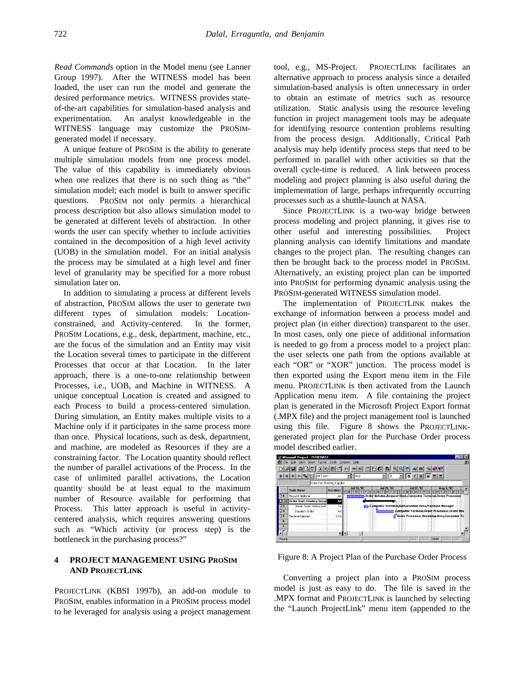*Read Commands* option in the Model menu (see Lanner Group 1997). After the WITNESS model has been loaded, the user can run the model and generate the desired performance metrics. WITNESS provides stateof-the-art capabilities for simulation-based analysis and experimentation. An analyst knowledgeable in the WITNESS language may customize the PROSIMgenerated model if necessary.

A unique feature of PROSIM is the ability to generate multiple simulation models from one process model. The value of this capability is immediately obvious when one realizes that there is no such thing as "the" simulation model; each model is built to answer specific questions. PROSIM not only permits a hierarchical process description but also allows simulation model to be generated at different levels of abstraction. In other words the user can specify whether to include activities contained in the decomposition of a high level activity (UOB) in the simulation model. For an initial analysis the process may be simulated at a high level and finer level of granularity may be specified for a more robust simulation later on.

In addition to simulating a process at different levels of abstraction, PROSIM allows the user to generate two different types of simulation models: Locationconstrained, and Activity-centered. In the former, PROSIM Locations, e.g., desk, department, machine, etc., are the focus of the simulation and an Entity may visit the Location several times to participate in the different Processes that occur at that Location. In the later approach, there is a one-to-one relationship between Processes, i.e., UOB, and Machine in WITNESS. A unique conceptual Location is created and assigned to each Process to build a process-centered simulation. During simulation, an Entity makes multiple visits to a Machine only if it participates in the same process more than once. Physical locations, such as desk, department, and machine, are modeled as Resources if they are a constraining factor. The Location quantity should reflect the number of parallel activations of the Process. In the case of unlimited parallel activations, the Location quantity should be at least equal to the maximum number of Resource available for performing that Process. This latter approach is useful in activitycentered analysis, which requires answering questions such as "Which activity (or process step) is the bottleneck in the purchasing process?"

## **4 PROJECT MANAGEMENT USING PROSIM AND PROJECTLINK**

PROJECTLINK (KBSI 1997b), an add-on module to PROSIM, enables information in a PROSIM process model to be leveraged for analysis using a project management

tool, e.g., MS-Project. PROJECTLINK facilitates an alternative approach to process analysis since a detailed simulation-based analysis is often unnecessary in order to obtain an estimate of metrics such as resource utilization. Static analysis using the resource leveling function in project management tools may be adequate for identifying resource contention problems resulting from the process design. Additionally, Critical Path analysis may help identify process steps that need to be performed in parallel with other activities so that the overall cycle-time is reduced. A link between process modeling and project planning is also useful during the implementation of large, perhaps infrequently occurring processes such as a shuttle-launch at NASA.

Since PROJECTLINK is a two-way bridge between process modeling and project planning, it gives rise to other useful and interesting possibilities. Project planning analysis can identify limitations and mandate changes to the project plan. The resulting changes can then be brought back to the process model in PROSIM. Alternatively, an existing project plan can be imported into PROSIM for performing dynamic analysis using the PROSIM-generated WITNESS simulation model.

The implementation of PROJECTLINK makes the exchange of information between a process model and project plan (in either direction) transparent to the user. In most cases, only one piece of additional information is needed to go from a process model to a project plan: the user selects one path from the options available at each "OR" or "XOR" junction. The process model is then exported using the Export menu item in the File menu. PROJECTLINK is then activated from the Launch Application menu item. A file containing the project plan is generated in the Microsoft Project Export format (.MPX file) and the project management tool is launched using this file. Figure 8 shows the PROJECTLINKgenerated project plan for the Purchase Order process model described earlier.

|                | <b>Microsoft Project - PURCHASE</b>             |                 |                             |                                                                   |                                                      |                                |    |
|----------------|-------------------------------------------------|-----------------|-----------------------------|-------------------------------------------------------------------|------------------------------------------------------|--------------------------------|----|
| Ø1             | File:<br>Format<br>View<br>Edit<br>Insert<br>y, | Tools<br>is a   | Window Help<br>勞<br>同韵<br>ත |                                                                   |                                                      |                                | o  |
|                | $+4.2$<br>All Tasks                             |                 | Arial                       | l8<br>▼                                                           | $I   \underline{U}  $<br>$\, {\bf B} \,$             | ⊞ 동  동                         |    |
|                | Order from Existing Supplier                    |                 |                             |                                                                   |                                                      |                                |    |
|                | <b>Task Name</b>                                | <b>Duration</b> | Jul 13, '97<br>S<br>S       | <b>Jul 20, '97</b><br>s<br>ıм                                     | Jul 27, '97<br>s<br>s<br>F<br>IM                     | Aug 3, '97<br><b>SM</b><br>F S | ls |
| D <sub>1</sub> | Request Material                                | 4d              |                             | Order Initiator, Request Desk, Computer Terminal, Order Processor |                                                      |                                |    |
| D2             | Order from Existing Suppl                       | 5d              |                             |                                                                   |                                                      |                                |    |
| $D_3$          | Obtain Order Authorizatio                       | 1d              |                             | Computer Terminal,Authorization Area,Purchase Manager             |                                                      |                                |    |
| D <sub>4</sub> | Dispatch Order                                  | 4d              |                             |                                                                   | Computer Terminal, Order Processor, Order Des        |                                |    |
| D <sub>5</sub> | Receive Material<br>£                           | 0.5d            |                             |                                                                   | <b>Computer Processor.Receiving Area.Computer Te</b> |                                |    |
|                |                                                 | E               |                             |                                                                   |                                                      |                                |    |
|                | Ready                                           |                 |                             |                                                                   |                                                      | EXT CAPS NUM SCBL CVB          | // |

Figure 8: A Project Plan of the Purchase Order Process

Converting a project plan into a PROSIM process model is just as easy to do. The file is saved in the .MPX format and PROJECTLINK is launched by selecting the "Launch ProjectLink" menu item (appended to the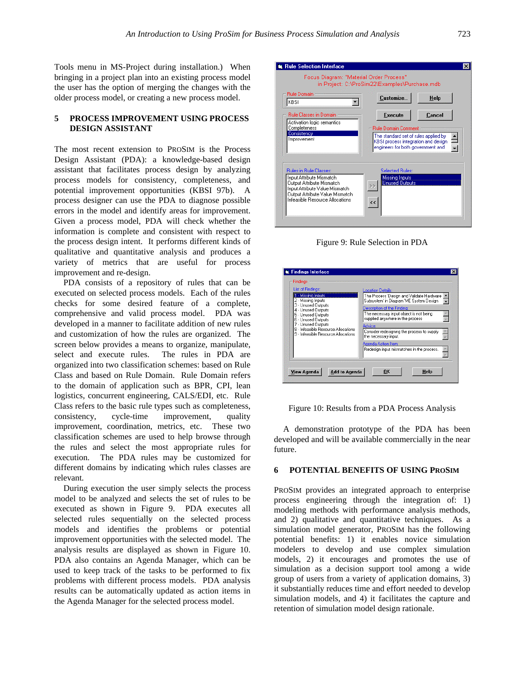Tools menu in MS-Project during installation.) When bringing in a project plan into an existing process model the user has the option of merging the changes with the older process model, or creating a new process model.

## **5 PROCESS IMPROVEMENT USING PROCESS DESIGN ASSISTANT**

The most recent extension to PROSIM is the Process Design Assistant (PDA): a knowledge-based design assistant that facilitates process design by analyzing process models for consistency, completeness, and potential improvement opportunities (KBSI 97b). A process designer can use the PDA to diagnose possible errors in the model and identify areas for improvement. Given a process model, PDA will check whether the information is complete and consistent with respect to the process design intent. It performs different kinds of qualitative and quantitative analysis and produces a variety of metrics that are useful for process improvement and re-design.

PDA consists of a repository of rules that can be executed on selected process models. Each of the rules checks for some desired feature of a complete, comprehensive and valid process model. PDA was developed in a manner to facilitate addition of new rules and customization of how the rules are organized. The screen below provides a means to organize, manipulate, select and execute rules. The rules in PDA are organized into two classification schemes: based on Rule Class and based on Rule Domain. Rule Domain refers to the domain of application such as BPR, CPI, lean logistics, concurrent engineering, CALS/EDI, etc. Rule Class refers to the basic rule types such as completeness, consistency, cycle-time improvement, quality improvement, coordination, metrics, etc. These two classification schemes are used to help browse through the rules and select the most appropriate rules for execution. The PDA rules may be customized for different domains by indicating which rules classes are relevant.

During execution the user simply selects the process model to be analyzed and selects the set of rules to be executed as shown in Figure 9. PDA executes all selected rules sequentially on the selected process models and identifies the problems or potential improvement opportunities with the selected model. The analysis results are displayed as shown in Figure 10. PDA also contains an Agenda Manager, which can be used to keep track of the tasks to be performed to fix problems with different process models. PDA analysis results can be automatically updated as action items in the Agenda Manager for the selected process model.



Figure 9: Rule Selection in PDA

| <b>List of Findings:</b>            | Location Details:                          |
|-------------------------------------|--------------------------------------------|
| 1 - Missing Inputs                  | The Process 'Design and Validate Hardware  |
| 2 - Missing Inputs                  | Subsystem in Diagram 'ME System Design     |
| 3 - Unused Outputs                  | Description of the Findina:                |
| 4 - Unused Outputs                  | The necessary input object is not being    |
| 5 - Unused Outputs                  | supplied anywhere in the process           |
| 6 - Unused Outputs                  | Advice:                                    |
| 7 - Unused Outputs                  | Consider redesigning the process to supply |
| 8 - Infeasible Resource Allocations | the necessary input.                       |
| 9 - Infeasible Resource Allocations | Agenda Action Item:                        |



A demonstration prototype of the PDA has been developed and will be available commercially in the near future.

### **6 POTENTIAL BENEFITS OF USING PROSIM**

PROSIM provides an integrated approach to enterprise process engineering through the integration of: 1) modeling methods with performance analysis methods, and 2) qualitative and quantitative techniques. As a simulation model generator, PROSIM has the following potential benefits: 1) it enables novice simulation modelers to develop and use complex simulation models, 2) it encourages and promotes the use of simulation as a decision support tool among a wide group of users from a variety of application domains, 3) it substantially reduces time and effort needed to develop simulation models, and 4) it facilitates the capture and retention of simulation model design rationale.